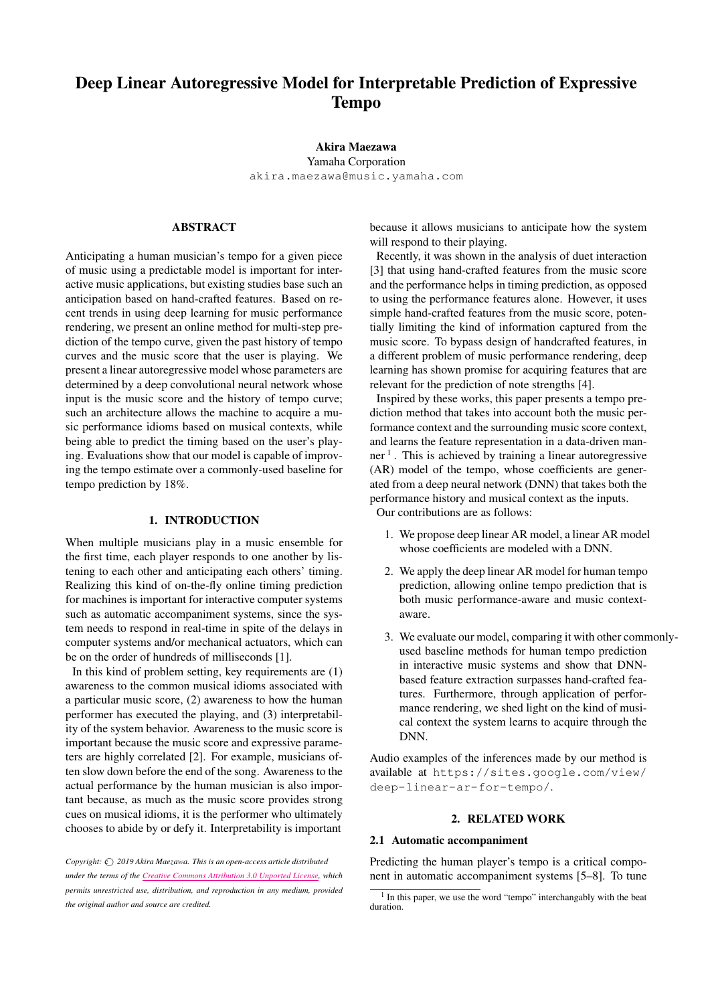# Deep Linear Autoregressive Model for Interpretable Prediction of Expressive Tempo

# Akira Maezawa

Yamaha Corporation [akira.maezawa@music.yamaha.com](mailto:akira.maezawa@music.yamaha.com)

# ABSTRACT

Anticipating a human musician's tempo for a given piece of music using a predictable model is important for interactive music applications, but existing studies base such an anticipation based on hand-crafted features. Based on recent trends in using deep learning for music performance rendering, we present an online method for multi-step prediction of the tempo curve, given the past history of tempo curves and the music score that the user is playing. We present a linear autoregressive model whose parameters are determined by a deep convolutional neural network whose input is the music score and the history of tempo curve; such an architecture allows the machine to acquire a music performance idioms based on musical contexts, while being able to predict the timing based on the user's playing. Evaluations show that our model is capable of improving the tempo estimate over a commonly-used baseline for tempo prediction by 18%.

# 1. INTRODUCTION

When multiple musicians play in a music ensemble for the first time, each player responds to one another by listening to each other and anticipating each others' timing. Realizing this kind of on-the-fly online timing prediction for machines is important for interactive computer systems such as automatic accompaniment systems, since the system needs to respond in real-time in spite of the delays in computer systems and/or mechanical actuators, which can be on the order of hundreds of milliseconds [1].

In this kind of problem setting, key requirements are (1) awareness to the common musical idioms associated with a particular music score, (2) awareness to how the human performer has executed the playing, and (3) interpretability of the system behavior. Awareness to the music score is important because the music score and expressive parameters are highly correlated [2]. For example, musicians often slow down before the end of the song. Awareness to the actual performance by the human musician is also important because, as much as the music score provides strong cues on musical idioms, it is the performer who ultimately chooses to abide by or defy it. Interpretability is important

*Copyright:*  $\bigcirc$  2019 *Akira Maezawa. This is an open-access article distributed under the terms of the Creative Commons [Attribution](http://creativecommons.org/licenses/by/3.0/) 3.0 Unported License, which permits unrestricted use, distribution, and reproduction in any medium, provided the original author and source are credited.*

because it allows musicians to anticipate how the system will respond to their playing.

Recently, it was shown in the analysis of duet interaction [3] that using hand-crafted features from the music score and the performance helps in timing prediction, as opposed to using the performance features alone. However, it uses simple hand-crafted features from the music score, potentially limiting the kind of information captured from the music score. To bypass design of handcrafted features, in a different problem of music performance rendering, deep learning has shown promise for acquiring features that are relevant for the prediction of note strengths [4].

Inspired by these works, this paper presents a tempo prediction method that takes into account both the music performance context and the surrounding music score context, and learns the feature representation in a data-driven man-ner<sup>[1](#page-0-0)</sup>. This is achieved by training a linear autoregressive (AR) model of the tempo, whose coefficients are generated from a deep neural network (DNN) that takes both the performance history and musical context as the inputs. Our contributions are as follows:

1. We propose deep linear AR model, a linear AR model whose coefficients are modeled with a DNN.

- 2. We apply the deep linear AR model for human tempo prediction, allowing online tempo prediction that is both music performance-aware and music contextaware.
- 3. We evaluate our model, comparing it with other commonlyused baseline methods for human tempo prediction in interactive music systems and show that DNNbased feature extraction surpasses hand-crafted features. Furthermore, through application of performance rendering, we shed light on the kind of musical context the system learns to acquire through the DNN.

Audio examples of the inferences made by our method is available at [https://sites.google.com/view/](https://sites.google.com/view/deep-linear-ar-for-tempo/) [deep-linear-ar-for-tempo/](https://sites.google.com/view/deep-linear-ar-for-tempo/).

# 2. RELATED WORK

# 2.1 Automatic accompaniment

Predicting the human player's tempo is a critical component in automatic accompaniment systems [5–8]. To tune

<span id="page-0-0"></span><sup>&</sup>lt;sup>1</sup> In this paper, we use the word "tempo" interchangably with the beat duration.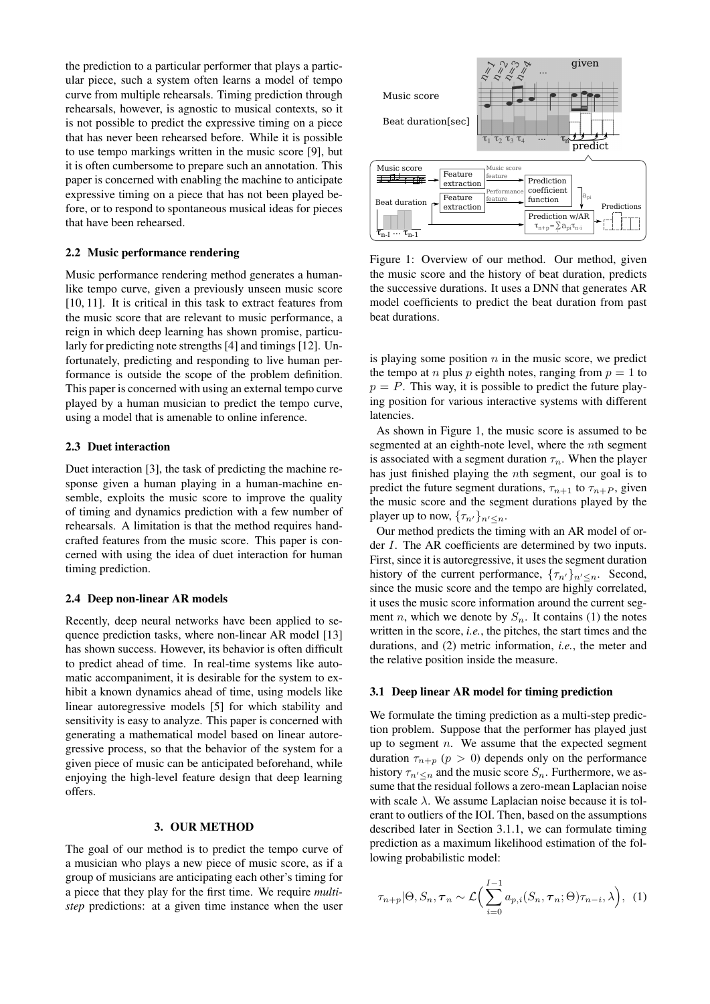the prediction to a particular performer that plays a particular piece, such a system often learns a model of tempo curve from multiple rehearsals. Timing prediction through rehearsals, however, is agnostic to musical contexts, so it is not possible to predict the expressive timing on a piece that has never been rehearsed before. While it is possible to use tempo markings written in the music score [9], but it is often cumbersome to prepare such an annotation. This paper is concerned with enabling the machine to anticipate expressive timing on a piece that has not been played before, or to respond to spontaneous musical ideas for pieces that have been rehearsed.

# 2.2 Music performance rendering

Music performance rendering method generates a humanlike tempo curve, given a previously unseen music score [10, 11]. It is critical in this task to extract features from the music score that are relevant to music performance, a reign in which deep learning has shown promise, particularly for predicting note strengths [4] and timings [12]. Unfortunately, predicting and responding to live human performance is outside the scope of the problem definition. This paper is concerned with using an external tempo curve played by a human musician to predict the tempo curve, using a model that is amenable to online inference.

### 2.3 Duet interaction

Duet interaction [3], the task of predicting the machine response given a human playing in a human-machine ensemble, exploits the music score to improve the quality of timing and dynamics prediction with a few number of rehearsals. A limitation is that the method requires handcrafted features from the music score. This paper is concerned with using the idea of duet interaction for human timing prediction.

## 2.4 Deep non-linear AR models

Recently, deep neural networks have been applied to sequence prediction tasks, where non-linear AR model [13] has shown success. However, its behavior is often difficult to predict ahead of time. In real-time systems like automatic accompaniment, it is desirable for the system to exhibit a known dynamics ahead of time, using models like linear autoregressive models [5] for which stability and sensitivity is easy to analyze. This paper is concerned with generating a mathematical model based on linear autoregressive process, so that the behavior of the system for a given piece of music can be anticipated beforehand, while enjoying the high-level feature design that deep learning offers.

# 3. OUR METHOD

The goal of our method is to predict the tempo curve of a musician who plays a new piece of music score, as if a group of musicians are anticipating each other's timing for a piece that they play for the first time. We require *multistep* predictions: at a given time instance when the user

<span id="page-1-0"></span>

Figure 1: Overview of our method. Our method, given the music score and the history of beat duration, predicts the successive durations. It uses a DNN that generates AR model coefficients to predict the beat duration from past beat durations.

is playing some position  $n$  in the music score, we predict the tempo at *n* plus *p* eighth notes, ranging from  $p = 1$  to  $p = P$ . This way, it is possible to predict the future playing position for various interactive systems with different latencies.

As shown in Figure [1,](#page-1-0) the music score is assumed to be segmented at an eighth-note level, where the nth segment is associated with a segment duration  $\tau_n$ . When the player has just finished playing the nth segment, our goal is to predict the future segment durations,  $\tau_{n+1}$  to  $\tau_{n+P}$ , given the music score and the segment durations played by the player up to now,  $\{\tau_{n'}\}_{n' \leq n}$ .

Our method predicts the timing with an AR model of order I. The AR coefficients are determined by two inputs. First, since it is autoregressive, it uses the segment duration history of the current performance,  $\{\tau_{n'}\}_{n' \leq n}$ . Second, since the music score and the tempo are highly correlated, it uses the music score information around the current segment *n*, which we denote by  $S_n$ . It contains (1) the notes written in the score, *i.e.*, the pitches, the start times and the durations, and (2) metric information, *i.e.*, the meter and the relative position inside the measure.

#### 3.1 Deep linear AR model for timing prediction

We formulate the timing prediction as a multi-step prediction problem. Suppose that the performer has played just up to segment  $n$ . We assume that the expected segment duration  $\tau_{n+p}$  ( $p > 0$ ) depends only on the performance history  $\tau_{n' \leq n}$  and the music score  $S_n$ . Furthermore, we assume that the residual follows a zero-mean Laplacian noise with scale  $\lambda$ . We assume Laplacian noise because it is tolerant to outliers of the IOI. Then, based on the assumptions described later in Section [3.1.1,](#page-2-0) we can formulate timing prediction as a maximum likelihood estimation of the following probabilistic model:

<span id="page-1-1"></span>
$$
\tau_{n+p}|\Theta, S_n, \tau_n \sim \mathcal{L}\Big(\sum_{i=0}^{I-1} a_{p,i}(S_n, \tau_n; \Theta)\tau_{n-i}, \lambda\Big), \tag{1}
$$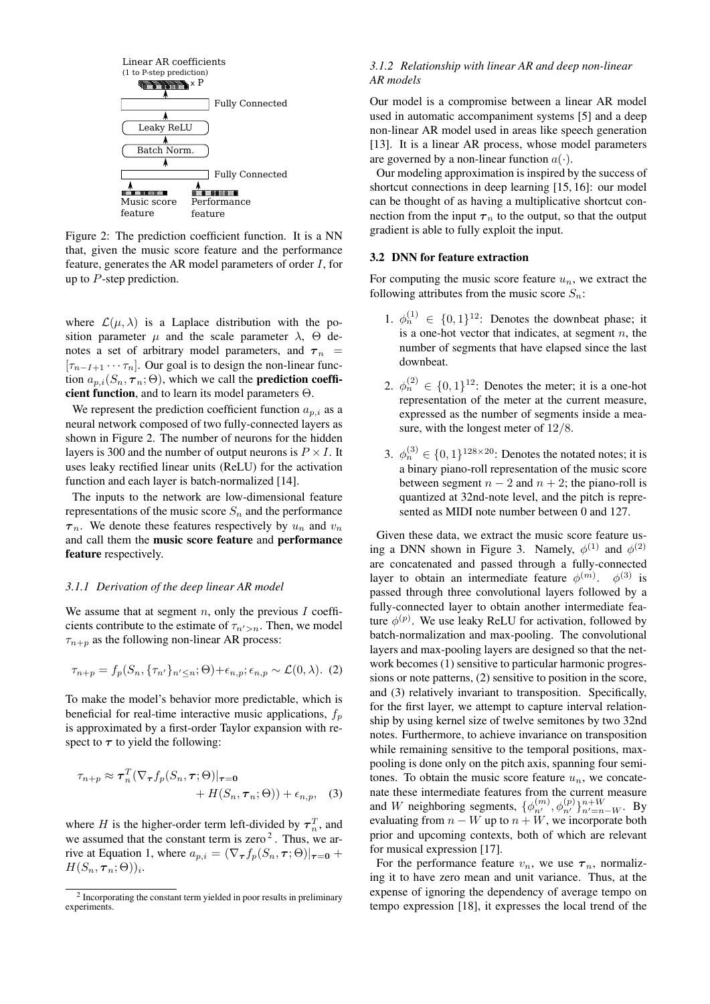<span id="page-2-1"></span>

Figure 2: The prediction coefficient function. It is a NN that, given the music score feature and the performance feature, generates the AR model parameters of order I, for up to  $P$ -step prediction.

where  $\mathcal{L}(\mu, \lambda)$  is a Laplace distribution with the position parameter  $\mu$  and the scale parameter  $\lambda$ ,  $\Theta$  denotes a set of arbitrary model parameters, and  $\tau_n$  =  $[\tau_{n-I+1} \cdots \tau_n]$ . Our goal is to design the non-linear function  $a_{p,i}(S_n, \tau_n; \Theta)$ , which we call the **prediction coeffi**cient function, and to learn its model parameters  $\Theta$ .

We represent the prediction coefficient function  $a_{p,i}$  as a neural network composed of two fully-connected layers as shown in Figure [2.](#page-2-1) The number of neurons for the hidden layers is 300 and the number of output neurons is  $P \times I$ . It uses leaky rectified linear units (ReLU) for the activation function and each layer is batch-normalized [14].

The inputs to the network are low-dimensional feature representations of the music score  $S_n$  and the performance  $\tau_n$ . We denote these features respectively by  $u_n$  and  $v_n$ and call them the music score feature and performance feature respectively.

### <span id="page-2-0"></span>*3.1.1 Derivation of the deep linear AR model*

We assume that at segment  $n$ , only the previous  $I$  coefficients contribute to the estimate of  $\tau_{n'>n}$ . Then, we model  $\tau_{n+p}$  as the following non-linear AR process:

$$
\tau_{n+p} = f_p(S_n, \{\tau_{n'}\}_{n' \le n}; \Theta) + \epsilon_{n,p}; \epsilon_{n,p} \sim \mathcal{L}(0, \lambda). \tag{2}
$$

To make the model's behavior more predictable, which is beneficial for real-time interactive music applications,  $f_p$ is approximated by a first-order Taylor expansion with respect to  $\tau$  to yield the following:

$$
\tau_{n+p} \approx \tau_n^T (\nabla_\tau f_p(S_n, \tau; \Theta)|_{\tau=0} + H(S_n, \tau_n; \Theta)) + \epsilon_{n,p}, \quad (3)
$$

where H is the higher-order term left-divided by  $\tau_n^T$ , and we assumed that the constant term is zero  $2$ . Thus, we ar-rive at Equation [1,](#page-1-1) where  $a_{p,i} = (\nabla_{\tau} f_p(S_n, \tau; \Theta))_{\tau=0}$  +  $H(S_n, \boldsymbol{\tau}_n; \Theta))_i.$ 

### *3.1.2 Relationship with linear AR and deep non-linear AR models*

Our model is a compromise between a linear AR model used in automatic accompaniment systems [5] and a deep non-linear AR model used in areas like speech generation [13]. It is a linear AR process, whose model parameters are governed by a non-linear function  $a(\cdot)$ .

Our modeling approximation is inspired by the success of shortcut connections in deep learning [15, 16]: our model can be thought of as having a multiplicative shortcut connection from the input  $\tau_n$  to the output, so that the output gradient is able to fully exploit the input.

### 3.2 DNN for feature extraction

For computing the music score feature  $u_n$ , we extract the following attributes from the music score  $S_n$ :

- 1.  $\phi_n^{(1)} \in \{0,1\}^{12}$ : Denotes the downbeat phase; it is a one-hot vector that indicates, at segment  $n$ , the number of segments that have elapsed since the last downbeat.
- 2.  $\phi_n^{(2)} \in \{0,1\}^{12}$ : Denotes the meter; it is a one-hot representation of the meter at the current measure, expressed as the number of segments inside a measure, with the longest meter of 12/8.
- 3.  $\phi_n^{(3)} \in \{0,1\}^{128 \times 20}$ : Denotes the notated notes; it is a binary piano-roll representation of the music score between segment  $n - 2$  and  $n + 2$ ; the piano-roll is quantized at 32nd-note level, and the pitch is represented as MIDI note number between 0 and 127.

Given these data, we extract the music score feature us-ing a DNN shown in Figure [3.](#page-3-0) Namely,  $\phi^{(1)}$  and  $\phi^{(2)}$ are concatenated and passed through a fully-connected layer to obtain an intermediate feature  $\phi^{(m)}$ .  $\phi^{(3)}$  is passed through three convolutional layers followed by a fully-connected layer to obtain another intermediate feature  $\phi^{(p)}$ . We use leaky ReLU for activation, followed by batch-normalization and max-pooling. The convolutional layers and max-pooling layers are designed so that the network becomes (1) sensitive to particular harmonic progressions or note patterns, (2) sensitive to position in the score, and (3) relatively invariant to transposition. Specifically, for the first layer, we attempt to capture interval relationship by using kernel size of twelve semitones by two 32nd notes. Furthermore, to achieve invariance on transposition while remaining sensitive to the temporal positions, maxpooling is done only on the pitch axis, spanning four semitones. To obtain the music score feature  $u_n$ , we concatenate these intermediate features from the current measure and W neighboring segments,  $\{\phi_{n'}^{(m)}, \phi_{n'}^{(p)}\}_{n'=n-W}^{n+W}$ . By evaluating from  $n - W$  up to  $n + W$ , we incorporate both prior and upcoming contexts, both of which are relevant for musical expression [17].

For the performance feature  $v_n$ , we use  $\tau_n$ , normalizing it to have zero mean and unit variance. Thus, at the expense of ignoring the dependency of average tempo on tempo expression [18], it expresses the local trend of the

<span id="page-2-2"></span><sup>&</sup>lt;sup>2</sup> Incorporating the constant term yielded in poor results in preliminary experiments.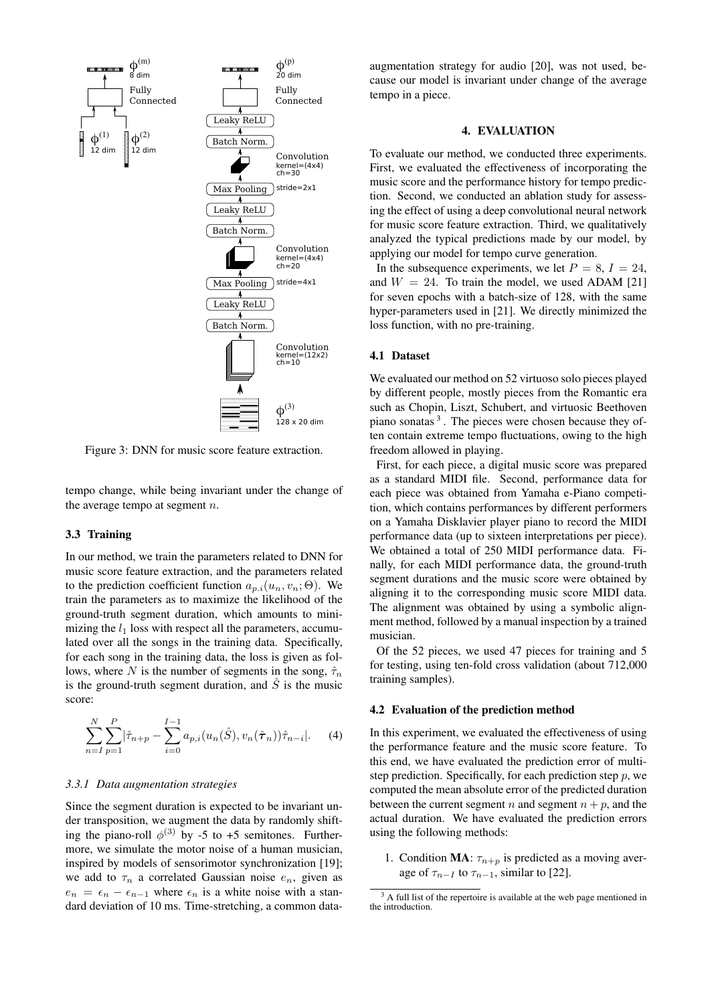<span id="page-3-0"></span>

Figure 3: DNN for music score feature extraction.

tempo change, while being invariant under the change of the average tempo at segment  $n$ .

# 3.3 Training

In our method, we train the parameters related to DNN for music score feature extraction, and the parameters related to the prediction coefficient function  $a_{p,i}(u_n, v_n; \Theta)$ . We train the parameters as to maximize the likelihood of the ground-truth segment duration, which amounts to minimizing the  $l_1$  loss with respect all the parameters, accumulated over all the songs in the training data. Specifically, for each song in the training data, the loss is given as follows, where N is the number of segments in the song,  $\hat{\tau}_n$ is the ground-truth segment duration, and  $\hat{S}$  is the music score:

$$
\sum_{n=1}^{N} \sum_{p=1}^{P} |\hat{\tau}_{n+p} - \sum_{i=0}^{I-1} a_{p,i}(u_n(\hat{S}), v_n(\hat{\tau}_n))\hat{\tau}_{n-i}|.
$$
 (4)

#### *3.3.1 Data augmentation strategies*

Since the segment duration is expected to be invariant under transposition, we augment the data by randomly shifting the piano-roll  $\phi^{(3)}$  by -5 to +5 semitones. Furthermore, we simulate the motor noise of a human musician, inspired by models of sensorimotor synchronization [19]; we add to  $\tau_n$  a correlated Gaussian noise  $e_n$ , given as  $e_n = \epsilon_n - \epsilon_{n-1}$  where  $\epsilon_n$  is a white noise with a standard deviation of 10 ms. Time-stretching, a common dataaugmentation strategy for audio [20], was not used, because our model is invariant under change of the average tempo in a piece.

### 4. EVALUATION

To evaluate our method, we conducted three experiments. First, we evaluated the effectiveness of incorporating the music score and the performance history for tempo prediction. Second, we conducted an ablation study for assessing the effect of using a deep convolutional neural network for music score feature extraction. Third, we qualitatively analyzed the typical predictions made by our model, by applying our model for tempo curve generation.

In the subsequence experiments, we let  $P = 8$ ,  $I = 24$ , and  $W = 24$ . To train the model, we used ADAM [21] for seven epochs with a batch-size of 128, with the same hyper-parameters used in [21]. We directly minimized the loss function, with no pre-training.

# 4.1 Dataset

We evaluated our method on 52 virtuoso solo pieces played by different people, mostly pieces from the Romantic era such as Chopin, Liszt, Schubert, and virtuosic Beethoven piano sonatas<sup>[3](#page-3-1)</sup>. The pieces were chosen because they often contain extreme tempo fluctuations, owing to the high freedom allowed in playing.

First, for each piece, a digital music score was prepared as a standard MIDI file. Second, performance data for each piece was obtained from Yamaha e-Piano competition, which contains performances by different performers on a Yamaha Disklavier player piano to record the MIDI performance data (up to sixteen interpretations per piece). We obtained a total of 250 MIDI performance data. Finally, for each MIDI performance data, the ground-truth segment durations and the music score were obtained by aligning it to the corresponding music score MIDI data. The alignment was obtained by using a symbolic alignment method, followed by a manual inspection by a trained musician.

Of the 52 pieces, we used 47 pieces for training and 5 for testing, using ten-fold cross validation (about 712,000 training samples).

# 4.2 Evaluation of the prediction method

In this experiment, we evaluated the effectiveness of using the performance feature and the music score feature. To this end, we have evaluated the prediction error of multistep prediction. Specifically, for each prediction step  $p$ , we computed the mean absolute error of the predicted duration between the current segment n and segment  $n + p$ , and the actual duration. We have evaluated the prediction errors using the following methods:

1. Condition MA:  $\tau_{n+p}$  is predicted as a moving average of  $\tau_{n-1}$  to  $\tau_{n-1}$ , similar to [22].

<span id="page-3-1"></span><sup>&</sup>lt;sup>3</sup> A full list of the repertoire is available at the web page mentioned in the introduction.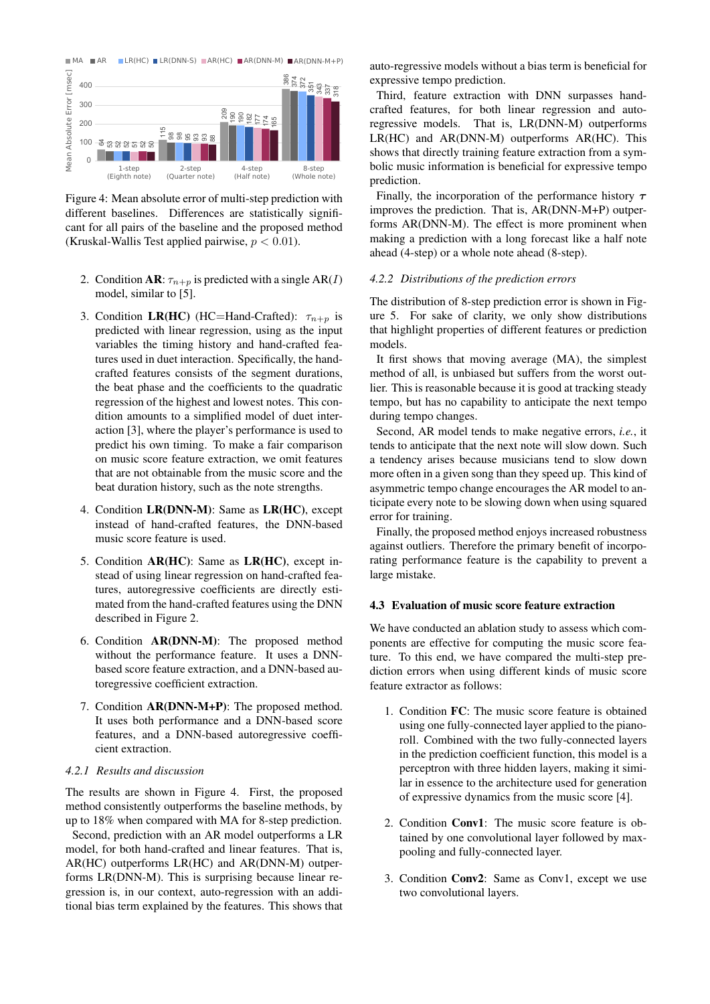<span id="page-4-0"></span>

Figure 4: Mean absolute error of multi-step prediction with different baselines. Differences are statistically significant for all pairs of the baseline and the proposed method (Kruskal-Wallis Test applied pairwise,  $p < 0.01$ ).

- 2. Condition **AR**:  $\tau_{n+p}$  is predicted with a single AR(I) model, similar to [5].
- 3. Condition LR(HC) (HC=Hand-Crafted):  $\tau_{n+p}$  is predicted with linear regression, using as the input variables the timing history and hand-crafted features used in duet interaction. Specifically, the handcrafted features consists of the segment durations, the beat phase and the coefficients to the quadratic regression of the highest and lowest notes. This condition amounts to a simplified model of duet interaction [3], where the player's performance is used to predict his own timing. To make a fair comparison on music score feature extraction, we omit features that are not obtainable from the music score and the beat duration history, such as the note strengths.
- 4. Condition LR(DNN-M): Same as LR(HC), except instead of hand-crafted features, the DNN-based music score feature is used.
- 5. Condition AR(HC): Same as LR(HC), except instead of using linear regression on hand-crafted features, autoregressive coefficients are directly estimated from the hand-crafted features using the DNN described in Figure [2.](#page-2-1)
- 6. Condition AR(DNN-M): The proposed method without the performance feature. It uses a DNNbased score feature extraction, and a DNN-based autoregressive coefficient extraction.
- 7. Condition AR(DNN-M+P): The proposed method. It uses both performance and a DNN-based score features, and a DNN-based autoregressive coefficient extraction.

# *4.2.1 Results and discussion*

The results are shown in Figure [4.](#page-4-0) First, the proposed method consistently outperforms the baseline methods, by up to 18% when compared with MA for 8-step prediction.

Second, prediction with an AR model outperforms a LR model, for both hand-crafted and linear features. That is, AR(HC) outperforms LR(HC) and AR(DNN-M) outperforms LR(DNN-M). This is surprising because linear regression is, in our context, auto-regression with an additional bias term explained by the features. This shows that auto-regressive models without a bias term is beneficial for expressive tempo prediction.

Third, feature extraction with DNN surpasses handcrafted features, for both linear regression and autoregressive models. That is, LR(DNN-M) outperforms LR(HC) and AR(DNN-M) outperforms AR(HC). This shows that directly training feature extraction from a symbolic music information is beneficial for expressive tempo prediction.

Finally, the incorporation of the performance history  $\tau$ improves the prediction. That is, AR(DNN-M+P) outperforms AR(DNN-M). The effect is more prominent when making a prediction with a long forecast like a half note ahead (4-step) or a whole note ahead (8-step).

### *4.2.2 Distributions of the prediction errors*

The distribution of 8-step prediction error is shown in Figure [5.](#page-5-0) For sake of clarity, we only show distributions that highlight properties of different features or prediction models.

It first shows that moving average (MA), the simplest method of all, is unbiased but suffers from the worst outlier. This is reasonable because it is good at tracking steady tempo, but has no capability to anticipate the next tempo during tempo changes.

Second, AR model tends to make negative errors, *i.e.*, it tends to anticipate that the next note will slow down. Such a tendency arises because musicians tend to slow down more often in a given song than they speed up. This kind of asymmetric tempo change encourages the AR model to anticipate every note to be slowing down when using squared error for training.

Finally, the proposed method enjoys increased robustness against outliers. Therefore the primary benefit of incorporating performance feature is the capability to prevent a large mistake.

# 4.3 Evaluation of music score feature extraction

We have conducted an ablation study to assess which components are effective for computing the music score feature. To this end, we have compared the multi-step prediction errors when using different kinds of music score feature extractor as follows:

- 1. Condition FC: The music score feature is obtained using one fully-connected layer applied to the pianoroll. Combined with the two fully-connected layers in the prediction coefficient function, this model is a perceptron with three hidden layers, making it similar in essence to the architecture used for generation of expressive dynamics from the music score [4].
- 2. Condition Conv1: The music score feature is obtained by one convolutional layer followed by maxpooling and fully-connected layer.
- 3. Condition Conv2: Same as Conv1, except we use two convolutional layers.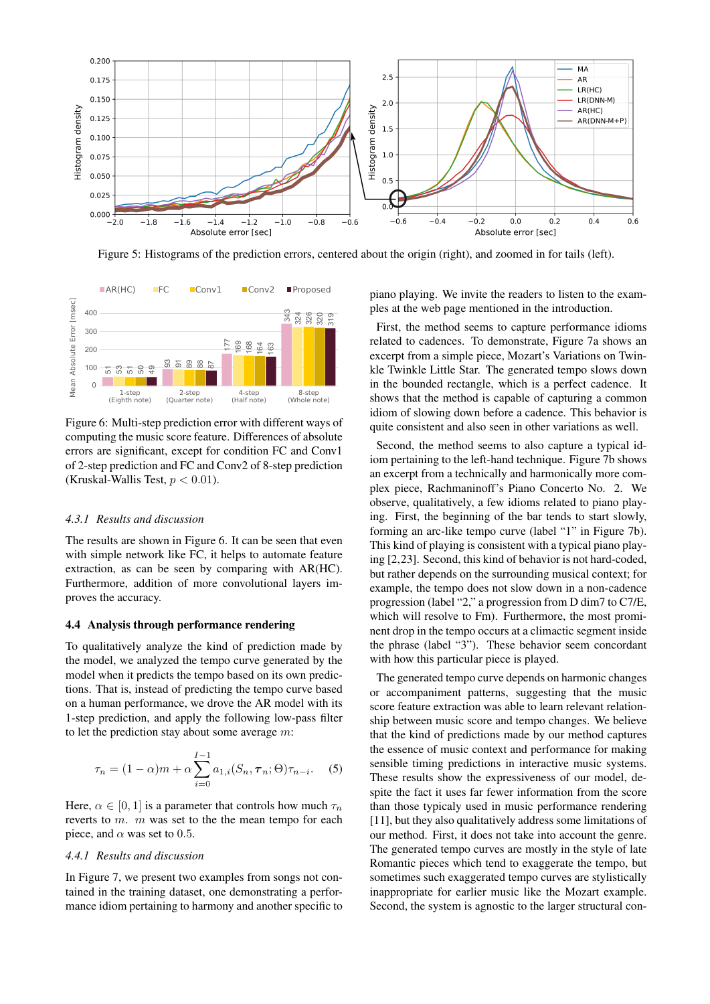

<span id="page-5-0"></span>Figure 5: Histograms of the prediction errors, centered about the origin (right), and zoomed in for tails (left).

<span id="page-5-1"></span>

Figure 6: Multi-step prediction error with different ways of computing the music score feature. Differences of absolute errors are significant, except for condition FC and Conv1 of 2-step prediction and FC and Conv2 of 8-step prediction (Kruskal-Wallis Test,  $p < 0.01$ ).

# *4.3.1 Results and discussion*

The results are shown in Figure [6.](#page-5-1) It can be seen that even with simple network like FC, it helps to automate feature extraction, as can be seen by comparing with AR(HC). Furthermore, addition of more convolutional layers improves the accuracy.

# 4.4 Analysis through performance rendering

To qualitatively analyze the kind of prediction made by the model, we analyzed the tempo curve generated by the model when it predicts the tempo based on its own predictions. That is, instead of predicting the tempo curve based on a human performance, we drove the AR model with its 1-step prediction, and apply the following low-pass filter to let the prediction stay about some average  $m$ :

$$
\tau_n = (1 - \alpha)m + \alpha \sum_{i=0}^{I-1} a_{1,i}(S_n, \tau_n; \Theta) \tau_{n-i}.
$$
 (5)

Here,  $\alpha \in [0, 1]$  is a parameter that controls how much  $\tau_n$ reverts to  $m$ .  $m$  was set to the the mean tempo for each piece, and  $\alpha$  was set to 0.5.

# *4.4.1 Results and discussion*

In Figure [7,](#page-6-0) we present two examples from songs not contained in the training dataset, one demonstrating a performance idiom pertaining to harmony and another specific to piano playing. We invite the readers to listen to the examples at the web page mentioned in the introduction.

First, the method seems to capture performance idioms related to cadences. To demonstrate, Figure [7a](#page-6-1) shows an excerpt from a simple piece, Mozart's Variations on Twinkle Twinkle Little Star. The generated tempo slows down in the bounded rectangle, which is a perfect cadence. It shows that the method is capable of capturing a common idiom of slowing down before a cadence. This behavior is quite consistent and also seen in other variations as well.

Second, the method seems to also capture a typical idiom pertaining to the left-hand technique. Figure [7b](#page-6-2) shows an excerpt from a technically and harmonically more complex piece, Rachmaninoff's Piano Concerto No. 2. We observe, qualitatively, a few idioms related to piano playing. First, the beginning of the bar tends to start slowly, forming an arc-like tempo curve (label "1" in Figure [7b\)](#page-6-2). This kind of playing is consistent with a typical piano playing [2,23]. Second, this kind of behavior is not hard-coded, but rather depends on the surrounding musical context; for example, the tempo does not slow down in a non-cadence progression (label "2," a progression from D dim7 to C7/E, which will resolve to Fm). Furthermore, the most prominent drop in the tempo occurs at a climactic segment inside the phrase (label "3"). These behavior seem concordant with how this particular piece is played.

The generated tempo curve depends on harmonic changes or accompaniment patterns, suggesting that the music score feature extraction was able to learn relevant relationship between music score and tempo changes. We believe that the kind of predictions made by our method captures the essence of music context and performance for making sensible timing predictions in interactive music systems. These results show the expressiveness of our model, despite the fact it uses far fewer information from the score than those typicaly used in music performance rendering [11], but they also qualitatively address some limitations of our method. First, it does not take into account the genre. The generated tempo curves are mostly in the style of late Romantic pieces which tend to exaggerate the tempo, but sometimes such exaggerated tempo curves are stylistically inappropriate for earlier music like the Mozart example. Second, the system is agnostic to the larger structural con-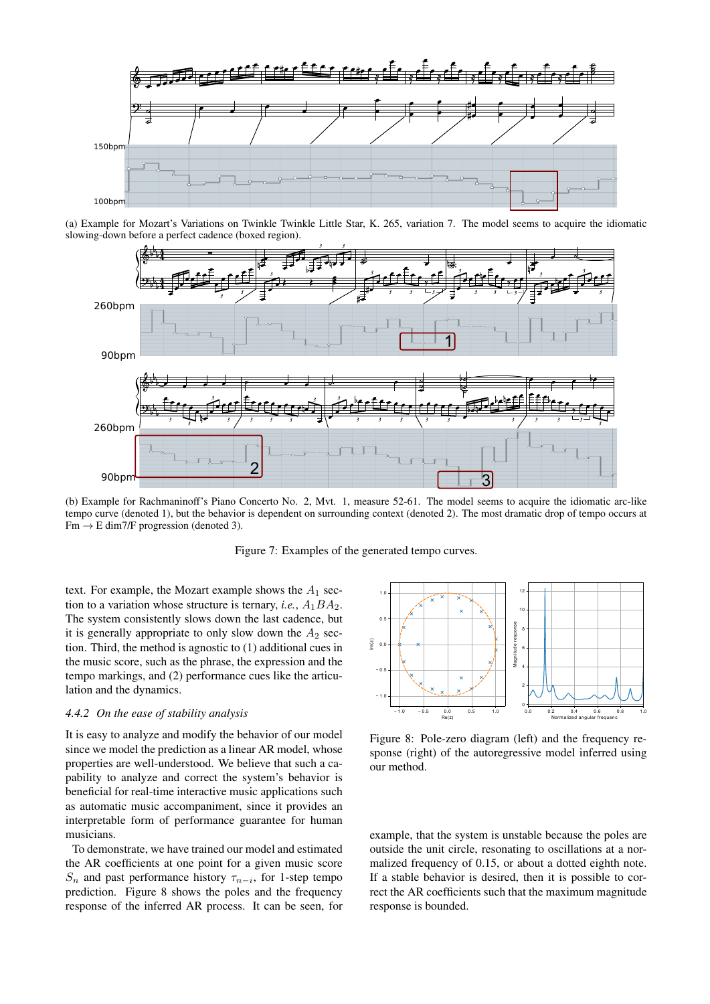

<span id="page-6-1"></span>(a) Example for Mozart's Variations on Twinkle Twinkle Little Star, K. 265, variation 7. The model seems to acquire the idiomatic slowing-down before a perfect cadence (boxed region).



<span id="page-6-2"></span>(b) Example for Rachmaninoff's Piano Concerto No. 2, Mvt. 1, measure 52-61. The model seems to acquire the idiomatic arc-like tempo curve (denoted 1), but the behavior is dependent on surrounding context (denoted 2). The most dramatic drop of tempo occurs at  $Fm \rightarrow E \dim 7/F$  progression (denoted 3).

<span id="page-6-0"></span>Figure 7: Examples of the generated tempo curves.

text. For example, the Mozart example shows the  $A_1$  section to a variation whose structure is ternary, *i.e.*,  $A_1BA_2$ . The system consistently slows down the last cadence, but it is generally appropriate to only slow down the  $A_2$  section. Third, the method is agnostic to (1) additional cues in the music score, such as the phrase, the expression and the tempo markings, and (2) performance cues like the articulation and the dynamics.

# *4.4.2 On the ease of stability analysis*

It is easy to analyze and modify the behavior of our model since we model the prediction as a linear AR model, whose properties are well-understood. We believe that such a capability to analyze and correct the system's behavior is beneficial for real-time interactive music applications such as automatic music accompaniment, since it provides an interpretable form of performance guarantee for human musicians.

To demonstrate, we have trained our model and estimated the AR coefficients at one point for a given music score  $S_n$  and past performance history  $\tau_{n-i}$ , for 1-step tempo prediction. Figure [8](#page-6-3) shows the poles and the frequency response of the inferred AR process. It can be seen, for

<span id="page-6-3"></span>

Figure 8: Pole-zero diagram (left) and the frequency response (right) of the autoregressive model inferred using our method.

example, that the system is unstable because the poles are outside the unit circle, resonating to oscillations at a normalized frequency of 0.15, or about a dotted eighth note. If a stable behavior is desired, then it is possible to correct the AR coefficients such that the maximum magnitude response is bounded.